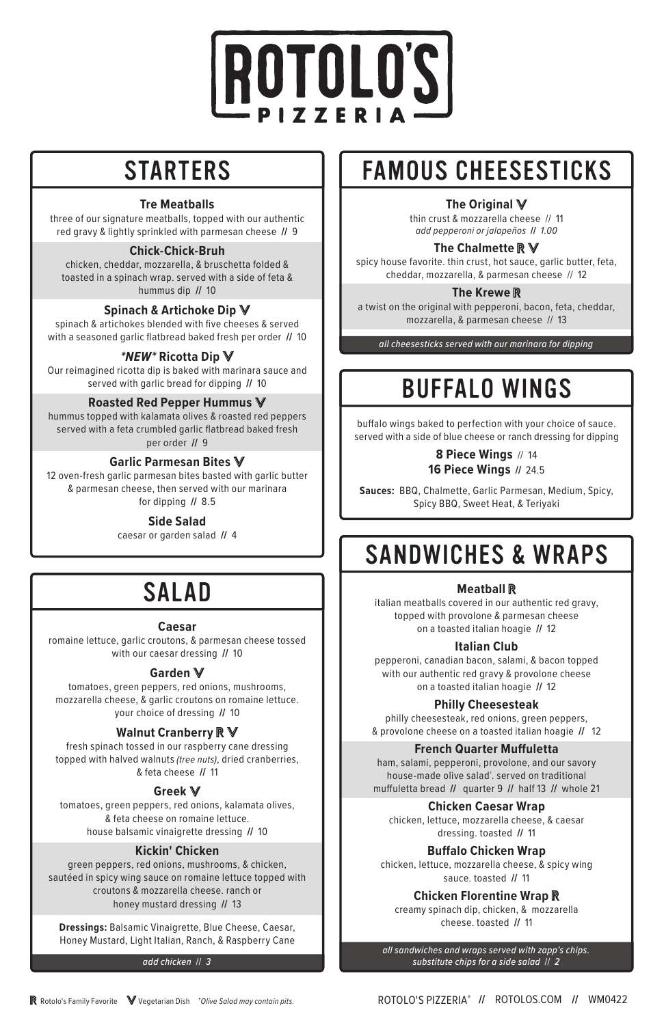# OTOLO'S IR

## **STARTERS**

### **Tre Meatballs**

three of our signature meatballs, topped with our authentic red gravy & lightly sprinkled with parmesan cheese **//** 9

### **Chick-Chick-Bruh**

chicken, cheddar, mozzarella, & bruschetta folded & toasted in a spinach wrap. served with a side of feta & hummus dip **//** 10

### **Spinach & Artichoke Dip**

spinach & artichokes blended with five cheeses & served with a seasoned garlic flatbread baked fresh per order **//** 10

### *\*NEW\** **Ricotta Dip**

Our reimagined ricotta dip is baked with marinara sauce and served with garlic bread for dipping **//** 10

### **Roasted Red Pepper Hummus**

hummus topped with kalamata olives & roasted red peppers served with a feta crumbled garlic flatbread baked fresh per order **//** 9

### **Garlic Parmesan Bites**

12 oven-fresh garlic parmesan bites basted with garlic butter & parmesan cheese, then served with our marinara for dipping **//** 8.5

### **Side Salad**

caesar or garden salad **//** 4

## SALAD

### **Caesar**

romaine lettuce, garlic croutons, & parmesan cheese tossed with our caesar dressing **//** 10

### **Garden**

tomatoes, green peppers, red onions, mushrooms, mozzarella cheese, & garlic croutons on romaine lettuce. your choice of dressing **//** 10

### **Walnut Cranberry**

fresh spinach tossed in our raspberry cane dressing topped with halved walnuts *(tree nuts)*, dried cranberries, & feta cheese **//** 11

### **Greek**

tomatoes, green peppers, red onions, kalamata olives, & feta cheese on romaine lettuce. house balsamic vinaigrette dressing **//** 10

### **Kickin' Chicken**

green peppers, red onions, mushrooms, & chicken, sautéed in spicy wing sauce on romaine lettuce topped with croutons & mozzarella cheese. ranch or honey mustard dressing **//** 13

**Dressings:** Balsamic Vinaigrette, Blue Cheese, Caesar, Honey Mustard, Light Italian, Ranch, & Raspberry Cane

*add chicken* // *3*

## FAMOUS CHEESESTICKS

### **The Original**

thin crust & mozzarella cheese // 11 *add pepperoni or jalapeños* **//** *1.00*

### **The Chalmette**

spicy house favorite. thin crust, hot sauce, garlic butter, feta, cheddar, mozzarella, & parmesan cheese // 12

### **The Krewe**

a twist on the original with pepperoni, bacon, feta, cheddar, mozzarella, & parmesan cheese // 13

*all cheesesticks served with our marinara for dipping* 

## BUFFALO WINGS

buffalo wings baked to perfection with your choice of sauce. served with a side of blue cheese or ranch dressing for dipping

> **8 Piece Wings** // 14 **16 Piece Wings //** 24.5

**Sauces:** BBQ, Chalmette, Garlic Parmesan, Medium, Spicy, Spicy BBQ, Sweet Heat, & Teriyaki

## SANDWICHES & WRAPS

### **Meatball**

italian meatballs covered in our authentic red gravy, topped with provolone & parmesan cheese on a toasted italian hoagie **//** 12

### **Italian Club**

pepperoni, canadian bacon, salami, & bacon topped with our authentic red gravy & provolone cheese on a toasted italian hoagie **//** 12

### **Philly Cheesesteak**

philly cheesesteak, red onions, green peppers, & provolone cheese on a toasted italian hoagie **//** 12

### **French Quarter Muffuletta**

ham, salami, pepperoni, provolone, and our savory house-made olive salad† . served on traditional muffuletta bread **//** quarter 9 **//** half 13 **//** whole 21

### **Chicken Caesar Wrap**

chicken, lettuce, mozzarella cheese, & caesar dressing. toasted **//** 11

### **Buffalo Chicken Wrap**

chicken, lettuce, mozzarella cheese, & spicy wing sauce. toasted **//** 11

### **Chicken Florentine Wrap**

creamy spinach dip, chicken, & mozzarella cheese. toasted **//** 11

*all sandwiches and wraps served with zapp's chips. substitute chips for a side salad* // *2*